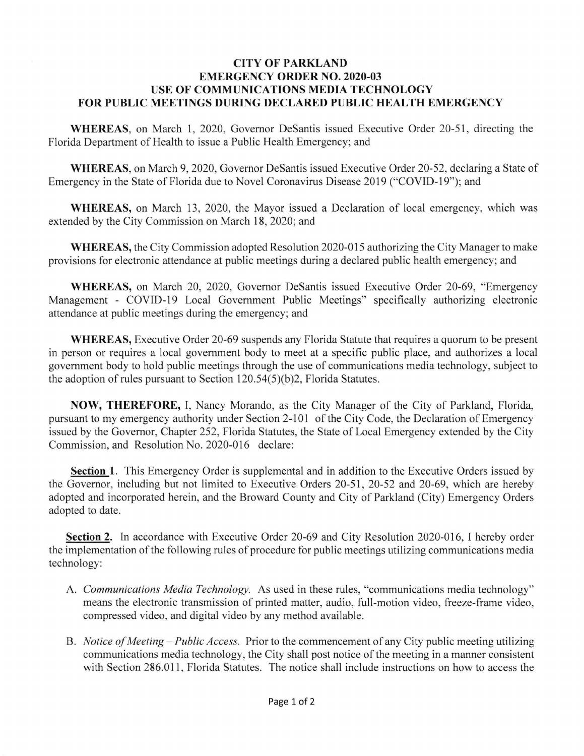## **CITY OF PARKLAND EMERGENCY ORDER NO. 2020-03 USE OF COMMUNICATIONS MEDIA TECHNOLOGY**  FOR PUBLIC MEETINGS DURING DECLARED PUBLIC HEALTH EMERGENCY

**WHEREAS,** on March 1, 2020, Governor DeSantis issued Executive Order 20-51 , directing the Florida Department of Health to issue a Public Health Emergency; and

**WHEREAS,** on March 9, 2020, Governor DeSantis issued Executive Order 20-52, declaring a State of Emergency in the State of Florida due to Novel Coronavirus Disease 2019 ("COVID-19"); and

**WHEREAS,** on March 13 , 2020, the Mayor issued a Declaration of local emergency, which was extended by the City Commission on March 18, 2020; and

**WHEREAS,** the City Commission adopted Resolution 2020-015 authorizing the City Manager to make provisions for electronic attendance at public meetings during a declared public health emergency; and

**WHEREAS,** on March 20, 2020, Governor DeSantis issued Executive Order 20-69, "Emergency Management - COVID-19 Local Government Public Meetings" specifically authorizing electronic attendance at public meetings during the emergency; and

**WHEREAS,** Executive Order 20-69 suspends any Florida Statute that requires a quorum to be present in person or requires a local government body to meet at a specific public place, and authorizes a local government body to hold public meetings through the use of communications media technology, subject to the adoption of rules pursuant to Section  $120.54(5)(b)2$ , Florida Statutes.

**NOW, THEREFORE,** I, Nancy Morando, as the City Manager of the City of Parkland, Florida, pursuant to my emergency authority under Section 2-101 of the City Code, the Declaration of Emergency issued by the Governor, Chapter 252, Florida Statutes, the State of Local Emergency extended by the City Commission, and Resolution No. 2020-016 declare:

**Section 1.** This Emergency Order is supplemental and in addition to the Executive Orders issued by the Governor, including but not limited to Executive Orders 20-51 , 20-52 and 20-69, which are hereby adopted and incorporated herein, and the Broward County and City of Parkland (City) Emergency Orders adopted to date.

**Section 2.** In accordance with Executive Order 20-69 and City Resolution 2020-016, I hereby order the implementation of the following rules of procedure for public meetings utilizing communications media technology:

- A. *Communications Media Technology.* As used in these rules, "communications media technology" means the electronic transmission of printed matter, audio, full-motion video, freeze-frame video, compressed video, and digital video by any method available.
- B. *Notice of Meeting Public Access.* Prior to the commencement of any City public meeting utilizing communications media technology, the City shall post notice of the meeting in a manner consistent with Section 286.011, Florida Statutes. The notice shall include instructions on how to access the